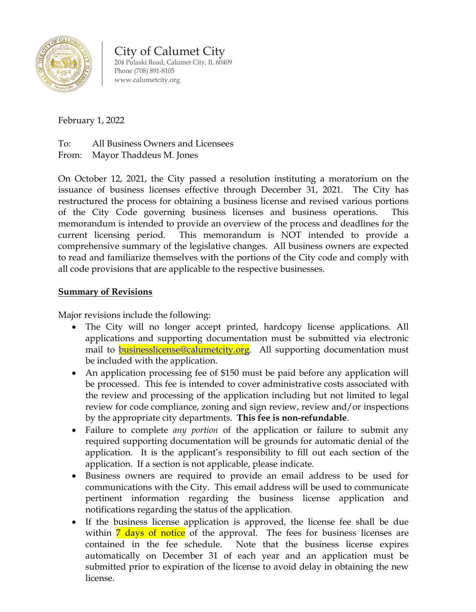

City of Calumet City 204 Pulaski Road, Calumet City, IL 60409 Phone (708) 891-8105 [www.calumetcity.org](http://www.calumetcity.org/)

## February 1, 2022

To: All Business Owners and Licensees From: Mayor Thaddeus M. Jones

On October 12, 2021, the City passed a resolution instituting a moratorium on the issuance of business licenses effective through December 31, 2021. The City has restructured the process for obtaining a business license and revised various portions of the City Code governing business licenses and business operations. This memorandum is intended to provide an overview of the process and deadlines for the current licensing period. This memorandum is NOT intended to provide a comprehensive summary of the legislative changes. All business owners are expected to read and familiarize themselves with the portions of the City code and comply with all code provisions that are applicable to the respective businesses.

## **Summary of Revisions**

Major revisions include the following:

- The City will no longer accept printed, hardcopy license applications. All applications and supporting documentation must be submitted via electronic mail to [businesslicense@calumetcity.org.](mailto:businesslicense@calumetcity.org) All supporting documentation must be included with the application.
- An application processing fee of \$150 must be paid before any application will be processed. This fee is intended to cover administrative costs associated with the review and processing of the application including but not limited to legal review for code compliance, zoning and sign review, review and/or inspections by the appropriate city departments. **This fee is non-refundable**.
- Failure to complete *any portion* of the application or failure to submit any required supporting documentation will be grounds for automatic denial of the application. It is the applicant's responsibility to fill out each section of the application. If a section is not applicable, please indicate.
- Business owners are required to provide an email address to be used for communications with the City. This email address will be used to communicate pertinent information regarding the business license application and notifications regarding the status of the application.
- If the business license application is approved, the license fee shall be due within 7 days of notice of the approval. The fees for business licenses are contained in the fee schedule. Note that the business license expires automatically on December 31 of each year and an application must be submitted prior to expiration of the license to avoid delay in obtaining the new license.